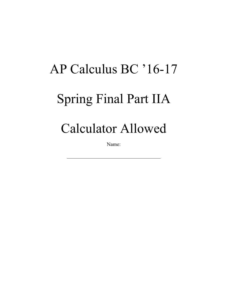## AP Calculus BC '16-17 Spring Final Part IIA Calculator Allowed

Name: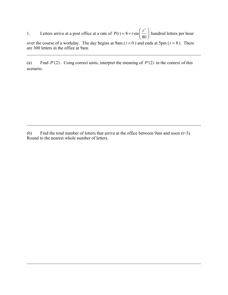1. Letters arrive at a post office at a rate of  $P(t) = 8 + t \sin \left( \frac{t^3}{25} \right)$ 80  $\big($  $\overline{\mathcal{N}}$  $\overline{a}$ ⎠ ⎟ hundred letters per hour over the course of a workday. The day begins at 9am ( $t = 0$ ) and ends at 5pm ( $t = 8$ ). There are 300 letters in the office at 9am.

(a) Find *P*'(2). Using correct units, interpret the meaning of *P*'(2) in the context of this scenario.

(b) Find the total number of letters that arrive at the office between 9am and noon  $(t=3)$ . Round to the nearest whole number of letters.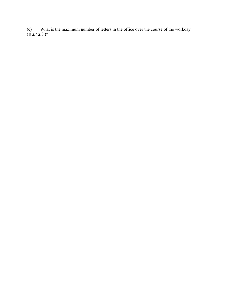(c) What is the maximum number of letters in the office over the course of the workday  $(0 \le t \le 8)$ ?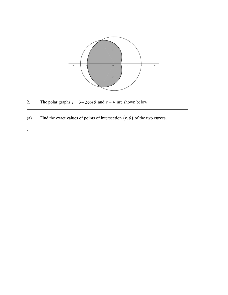

2. The polar graphs  $r = 3 - 2\cos\theta$  and  $r = 4$  are shown below.

.

(a) Find the exact values of points of intersection  $(r, \theta)$  of the two curves.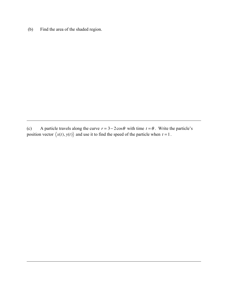(b) Find the area of the shaded region.

(c) A particle travels along the curve  $r = 3 - 2\cos\theta$  with time  $t = \theta$ . Write the particle's position vector  $\langle x(t), y(t) \rangle$  and use it to find the speed of the particle when  $t = 1$ .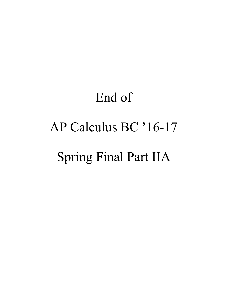## End of AP Calculus BC '16-17 Spring Final Part IIA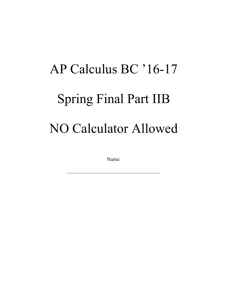## AP Calculus BC '16-17 Spring Final Part IIB NO Calculator Allowed

Name: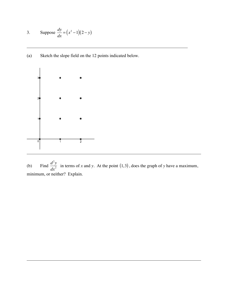3. Suppose 
$$
\frac{dy}{dx} = (x^2 - 1)(2 - y)
$$

(a) Sketch the slope field on the 12 points indicated below.



(b) Find  $\frac{d^2y}{dx^2}$  in terms of *x* and *y*. At the point  $(1,3)$ , does the graph of *y* have a maximum, minimum, or neither? Explain.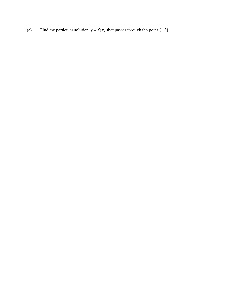(c) Find the particular solution  $y = f(x)$  that passes through the point (1,3).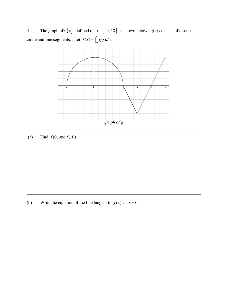4. The graph of  $g(x)$ , defined on  $x \in [-4, 10]$ , is shown below.  $g(x)$  consists of a semicircle and line segments. Let  $f(x) = \int_6^x g(t) dt$  $\int_6^x g(t) dt$ .



(a) Find  $f(0)$  and  $f(10)$ .

(b) Write the equation of the line tangent to  $f(x)$  at  $x = 6$ .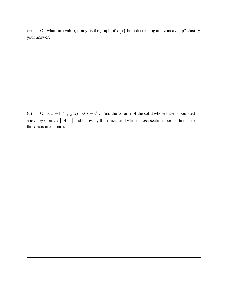(c) On what interval(s), if any, is the graph of  $f(x)$  both decreasing and concave up? Justify your answer.

(d) On  $x \in [-4, 4]$ ,  $g(x) = \sqrt{16 - x^2}$ . Find the volume of the solid whose base is bounded above by *g* on  $x \in [-4, 4]$  and below by the *x*-axis, and whose cross-sections perpendicular to the *x*-axis are squares.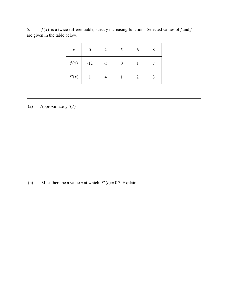5.  $f(x)$  is a twice-differentiable, strictly increasing function. Selected values of  $f$  and  $f'$ are given in the table below.

| $\boldsymbol{\mathcal{X}}$ | 0     | 2    | 6 | 8 |
|----------------------------|-------|------|---|---|
| f(x)                       | $-12$ | $-5$ |   |   |
| f'(x)                      |       |      | 2 | 3 |

(a) Approximate  $f''(7)$ .

(b) Must there be a value *c* at which  $f''(c) = 0$ ? Explain.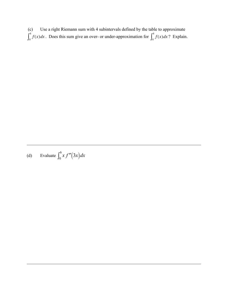(c) Use a right Riemann sum with 4 subintervals defined by the table to approximate  $\int_0^x f(x) dx$  $\int_0^8 f(x) dx$ . Does this sum give an over- or under-approximation for  $\int_0^8 f(x) dx$  $\int_0^8 f(x) dx$ ? Explain.

(d) Evaluate  $\int_0^6 x f''(3x) dx$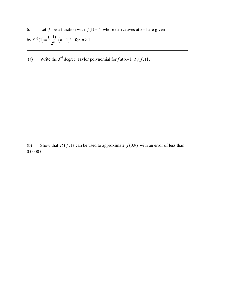6. Let *f* be a function with  $f(1) = 4$  whose derivatives at x=1 are given by  $f^{(n)}(1) = \frac{(-1)^n}{2^n}$  $\frac{1}{2^n}$  (*n* −1)! for *n* ≥ 1.

(a) Write the 3<sup>rd</sup> degree Taylor polynomial for *f* at x=1,  $P_3(f,1)$ .

(b) Show that  $P_3(f,1)$  can be used to approximate  $f(0.9)$  with an error of less than 0.00005.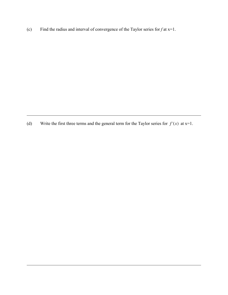(c) Find the radius and interval of convergence of the Taylor series for  $f$  at  $x=1$ .

(d) Write the first three terms and the general term for the Taylor series for  $f'(x)$  at  $x=1$ .